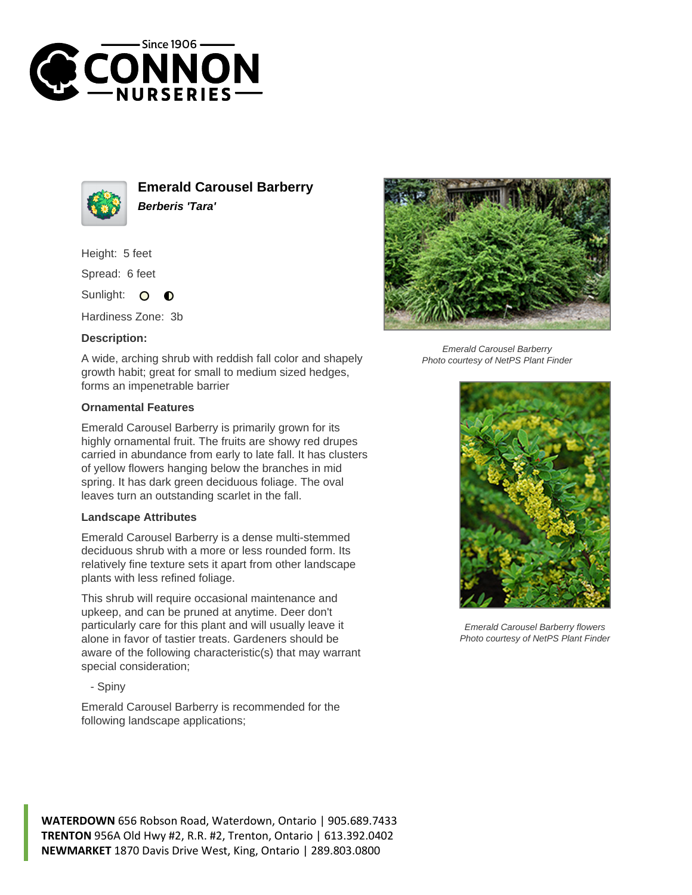



**Emerald Carousel Barberry Berberis 'Tara'**

Height: 5 feet

Spread: 6 feet

Sunlight:  $\circ$ ∩

Hardiness Zone: 3b

## **Description:**

A wide, arching shrub with reddish fall color and shapely growth habit; great for small to medium sized hedges, forms an impenetrable barrier

## **Ornamental Features**

Emerald Carousel Barberry is primarily grown for its highly ornamental fruit. The fruits are showy red drupes carried in abundance from early to late fall. It has clusters of yellow flowers hanging below the branches in mid spring. It has dark green deciduous foliage. The oval leaves turn an outstanding scarlet in the fall.

## **Landscape Attributes**

Emerald Carousel Barberry is a dense multi-stemmed deciduous shrub with a more or less rounded form. Its relatively fine texture sets it apart from other landscape plants with less refined foliage.

This shrub will require occasional maintenance and upkeep, and can be pruned at anytime. Deer don't particularly care for this plant and will usually leave it alone in favor of tastier treats. Gardeners should be aware of the following characteristic(s) that may warrant special consideration;

- Spiny

Emerald Carousel Barberry is recommended for the following landscape applications;



Emerald Carousel Barberry Photo courtesy of NetPS Plant Finder



Emerald Carousel Barberry flowers Photo courtesy of NetPS Plant Finder

**WATERDOWN** 656 Robson Road, Waterdown, Ontario | 905.689.7433 **TRENTON** 956A Old Hwy #2, R.R. #2, Trenton, Ontario | 613.392.0402 **NEWMARKET** 1870 Davis Drive West, King, Ontario | 289.803.0800